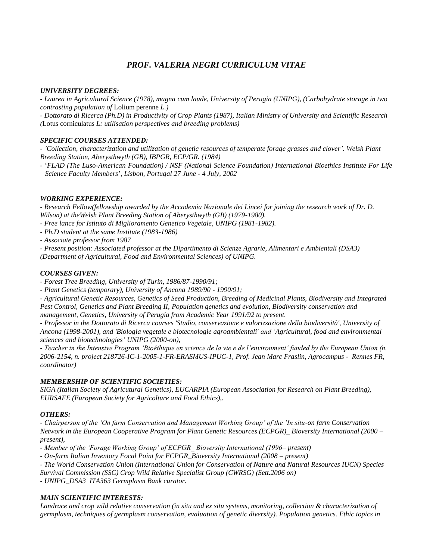# *PROF. VALERIA NEGRI CURRICULUM VITAE*

# *UNIVERSITY DEGREES:*

*- Laurea in Agricultural Science (1978), magna cum laude, University of Perugia (UNIPG), (Carbohydrate storage in two contrasting population of* Lolium perenne *L.)*

*- Dottorato di Ricerca (Ph.D) in Productivity of Crop Plants (1987), Italian Ministry of University and Scientific Research (*Lotus corniculatus *L: utilisation perspectives and breeding problems)*

# *SPECIFIC COURSES ATTENDED:*

*- 'Collection, characterization and utilization of genetic resources of temperate forage grasses and clover'. Welsh Plant Breeding Station, Aberysthwyth (GB), IBPGR, ECP/GR. (1984)*

- '*FLAD (The Luso-American Foundation) / NSF (National Science Foundation) International Bioethics Institute For Life Science Faculty Members*', *Lisbon, Portugal 27 June - 4 July, 2002*

# *WORKING EXPERIENCE:*

*- Research Fellow(fellowship awarded by the Accademia Nazionale dei Lincei for joining the research work of Dr. D. Wilson) at theWelsh Plant Breeding Station of Aberysthwyth (GB) (1979-1980).*

- *- Free lance for Istituto di Miglioramento Genetico Vegetale, UNIPG (1981-1982).*
- *- Ph.D student at the same Institute (1983-1986)*
- *- Associate professor from 1987*

*- Present position: Associated professor at the Dipartimento di Scienze Agrarie, Alimentari e Ambientali (DSA3) (Department of Agricultural, Food and Environmental Sciences) of UNIPG.*

# *COURSES GIVEN:*

*- Forest Tree Breeding, University of Turin, 1986/87-1990/91;*

*- Plant Genetics (temporary), University of Ancona 1989/90 - 1990/91;* 

*- Agricultural Genetic Resources, Genetics of Seed Production, Breeding of Medicinal Plants, Biodiversity and Integrated Pest Control, Genetics and Plant Breeding II, Population genetics and evolution, Biodiversity conservation and management, Genetics, University of Perugia from Academic Year 1991/92 to present.*

*- Professor in the Dottorato di Ricerca courses 'Studio, conservazione e valorizzazione della biodiversità', University of Ancona (1998-2001), and 'Biologia vegetale e biotecnologie agroambientali' and 'Agricultural, food and environmental sciences and biotechnologies' UNIPG (2000-on),* 

*- Teacher in the Intensive Program 'Bioéthique en science de la vie e de l'environment' funded by the European Union (n. 2006-2154, n. project 218726-IC-1-2005-1-FR-ERASMUS-IPUC-1, Prof. Jean Marc Fraslin, Agrocampus - Rennes FR, coordinator)*

### *MEMBERSHIP OF SCIENTIFIC SOCIETIES:*

*SIGA (Italian Society of Agricutural Genetics), EUCARPIA (European Association for Research on Plant Breeding), EURSAFE (European Society for Agricolture and Food Ethics),.*

### *OTHERS:*

*- Chairperson of the 'On farm Conservation and Management Working Group' of the 'In situ-on farm Conservation Network in the European Cooperative Program for Plant Genetic Resources (ECPGR)\_ Bioversity International (2000 – present),* 

*- Member of the 'Forage Working Group' of ECPGR\_ Bioversity International (1996– present)*

*- On-farm Italian Inventory Focal Point for ECPGR\_Bioversity International (2008 – present)*

- *The World Conservation Union (International Union for Conservation of Nature and Natural Resources IUCN) Species* 

*Survival Commission (SSC) Crop Wild Relative Specialist Group (CWRSG) (Sett.2006 on)*

*- UNIPG\_DSA3 ITA363 Germplasm Bank curator.*

# *MAIN SCIENTIFIC INTERESTS:*

*Landrace and crop wild relative conservation (in situ and ex situ systems, monitoring, collection & characterization of germplasm, techniques of germplasm conservation, evaluation of genetic diversity). Population genetics. Ethic topics in*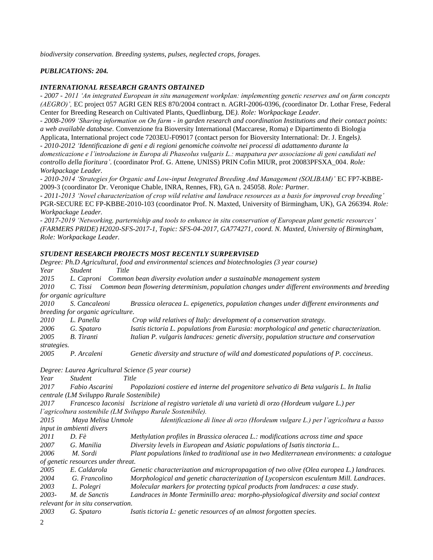*biodiversity conservation. Breeding systems, pulses, neglected crops, forages.* 

# *PUBLICATIONS: 204.*

### *INTERNATIONAL RESEARCH GRANTS OBTAINED*

*- 2007 - 2011 'An integrated European in situ management workplan: implementing genetic reserves and on farm concepts (AEGRO)',* EC project 057 AGRI GEN RES 870/2004 contract n. AGRI-2006-0396, *(*coordinator Dr. Lothar Frese, Federal Center for Breeding Research on Cultivated Plants, Quedlinburg, DE*). Role: Workpackage Leader.*

*- 2008-2009 'Sharing information on On farm - in garden research and coordination Institutions and their contact points: a web available database.* Convenzione fra Bioversity International (Maccarese, Roma) e Dipartimento di Biologia Applicata, International project code 7203EU-F09017 (contact person for Bioversity International: Dr. J. Engels*).*

*- 2010-2012 'Identificazione di geni e di regioni genomiche coinvolte nei processi di adattamento durante la domesticazione e l'introduzione in Europa di Phaseolus vulgaris L.: mappatura per associazione di geni candidati nel controllo della fioritura'.* (coordinator Prof. G. Attene, UNISS) PRIN Cofin MIUR, prot 20083PFSXA\_004. *Role: Workpackage Leader.*

*- 2010-2014 'Strategies for Organic and Low-input Integrated Breeding And Management (SOLIBAM)'* EC FP7-KBBE-2009-3 (coordinator Dr. Veronique Chable, INRA, Rennes, FR), GA n. 245058. *Role: Partner.*

*- 2011-2013 'Novel characterization of crop wild relative and landrace resources as a basis for improved crop breeding'*  PGR-SECURE EC FP-KBBE-2010-103 (coordinator Prof. N. Maxted, University of Birmingham, UK), GA 266394. *Role: Workpackage Leader.*

*- 2017-2019 'Networking, parterniship and tools to enhance in situ conservation of European plant genetic resources' (FARMERS PRIDE) H2020-SFS-2017-1, Topic: SFS-04-2017, GA774271, coord. N. Maxted, University of Birmingham, Role: Workpackage Leader.*

### *STUDENT RESEARCH PROJECTS MOST RECENTLY SURPERVISED*

| Degree: Ph.D Agricultural, food and environmental sciences and biotechnologies (3 year course) |                                                                                                             |                                                                                                     |  |  |
|------------------------------------------------------------------------------------------------|-------------------------------------------------------------------------------------------------------------|-----------------------------------------------------------------------------------------------------|--|--|
| Year                                                                                           | <b>Student</b><br>Title                                                                                     |                                                                                                     |  |  |
| 2015                                                                                           | L. Caproni<br>Common bean diversity evolution under a sustainable management system                         |                                                                                                     |  |  |
| 2010                                                                                           | Common bean flowering determinism, population changes under different environments and breeding<br>C. Tissi |                                                                                                     |  |  |
| for organic agriculture                                                                        |                                                                                                             |                                                                                                     |  |  |
| 2010                                                                                           | S. Cancaleoni                                                                                               | Brassica oleracea L. epigenetics, population changes under different environments and               |  |  |
| breeding for organic agriculture.                                                              |                                                                                                             |                                                                                                     |  |  |
| 2010                                                                                           | L. Panella                                                                                                  | Crop wild relatives of Italy: development of a conservation strategy.                               |  |  |
| 2006                                                                                           | G. Spataro                                                                                                  | Isatis tictoria L. populations from Eurasia: morphological and genetic characterization.            |  |  |
| 2005                                                                                           | <b>B.</b> Tiranti                                                                                           | Italian P. vulgaris landraces: genetic diversity, population structure and conservation             |  |  |
| strategies.                                                                                    |                                                                                                             |                                                                                                     |  |  |
| 2005                                                                                           | P. Arcaleni                                                                                                 | Genetic diversity and structure of wild and domesticated populations of P. coccineus.               |  |  |
|                                                                                                |                                                                                                             | Degree: Laurea Agricultural Science (5 year course)                                                 |  |  |
| Year                                                                                           | <b>Student</b>                                                                                              | Title                                                                                               |  |  |
| 2017                                                                                           | Fabio Ascarini                                                                                              | Popolazioni costiere ed interne del progenitore selvatico di Beta vulgaris L. In Italia             |  |  |
|                                                                                                | centrale (LM Sviluppo Rurale Sostenibile)                                                                   |                                                                                                     |  |  |
| 2017                                                                                           |                                                                                                             | Francesco Iaconisi Iscrizione al registro varietale di una varietà di orzo (Hordeum vulgare L.) per |  |  |
| l'agricoltura sostenibile (LM Sviluppo Rurale Sostenibile).                                    |                                                                                                             |                                                                                                     |  |  |
| 2015                                                                                           | Maya Melisa Unmole                                                                                          | Identificazione di linee di orzo (Hordeum vulgare L.) per l'agricoltura a basso                     |  |  |
| input in ambienti divers                                                                       |                                                                                                             |                                                                                                     |  |  |
| 2011                                                                                           | $D. F\grave{e}$                                                                                             | Methylation profiles in Brassica oleracea L.: modifications across time and space                   |  |  |
| 2007                                                                                           | G. Manilia                                                                                                  | Diversity levels in European and Asiatic populations of Isatis tinctoria L                          |  |  |
| 2006                                                                                           | M. Sordi                                                                                                    | Plant populations linked to traditional use in two Mediterranean environments: a catalogue          |  |  |
| of genetic resources under threat.                                                             |                                                                                                             |                                                                                                     |  |  |
| 2005                                                                                           | E. Caldarola                                                                                                | Genetic characterization and micropropagation of two olive (Olea europea L.) landraces.             |  |  |
| 2004                                                                                           | G. Francolino                                                                                               | Morphological and genetic characterization of Lycopersicon esculentum Mill. Landraces.              |  |  |
| 2003                                                                                           | L. Polegri                                                                                                  | Molecular markers for protecting typical products from landraces: a case study.                     |  |  |
| 2003-                                                                                          | M. de Sanctis                                                                                               | Landraces in Monte Terminillo area: morpho-physiological diversity and social context               |  |  |
| relevant for in situ conservation.                                                             |                                                                                                             |                                                                                                     |  |  |
| 2003                                                                                           | G. Spataro                                                                                                  | Isatis tictoria L: genetic resources of an almost forgotten species.                                |  |  |
| ↑                                                                                              |                                                                                                             |                                                                                                     |  |  |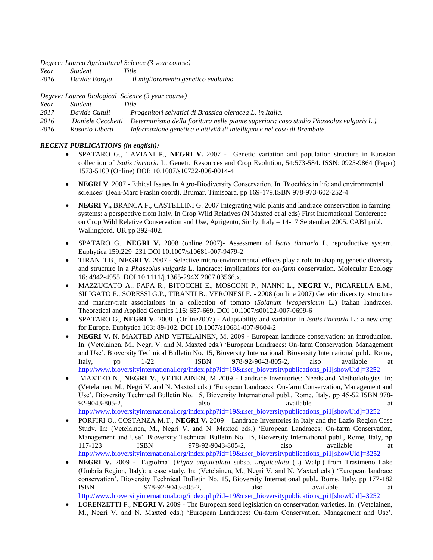*Degree: Laurea Agricultural Science (3 year course)*

*Year Student Title*

*2016 Davide Borgia Il miglioramento genetico evolutivo.*

*Degree: Laurea Biological Science (3 year course)*

| Year | <i>Student</i> | Title |
|------|----------------|-------|
|      |                |       |

*2017 Davide Cutuli Progenitori selvatici di Brassica oleracea L. in Italia.*

*2016 Daniele Cecchetti Determinismo della fioritura nelle piante superiori: caso studio Phaseolus vulgaris L.).*

*2016 Rosario Liberti Informazione genetica e attività di intelligence nel caso di Brembate.*

# *RECENT PUBLICATIONS (in english):*

- SPATARO G., TAVIANI P., **NEGRI V.** 2007 Genetic variation and population structure in Eurasian collection of *Isatis tinctoria* L. Genetic Resources and Crop Evolution, 54:573-584. ISSN: 0925-9864 (Paper) 1573-5109 (Online) DOI: 10.1007/s10722-006-0014-4
- **NEGRI V**. 2007 Ethical Issues In Agro-Biodiversity Conservation. In 'Bioethics in life and environmental sciences' (Jean-Marc Fraslin coord), Brumar, Timisoara, pp 169-179.ISBN 978-973-602-252-4
- **NEGRI V.,** BRANCA F., CASTELLINI G. 2007 Integrating wild plants and landrace conservation in farming systems: a perspective from Italy. In Crop Wild Relatives (N Maxted et al eds) First International Conference on Crop Wild Relative Conservation and Use, Agrigento, Sicily, Italy – 14-17 September 2005. CABI publ. Wallingford, UK pp 392-402.
- SPATARO G., **NEGRI V.** 2008 (online 2007)- Assessment of *Isatis tinctoria* L. reproductive system. Euphytica 159:229–231 DOI 10.1007/s10681-007-9479-2
- TIRANTI B., **NEGRI V.** 2007 Selective micro-environmental effects play a role in shaping genetic diversity and structure in a *Phaseolus vulgaris* L. landrace: implications for *on-farm* conservation. Molecular Ecology 16: 4942-4955. DOI 10.1111/j.1365-294X.2007.03566.x.
- MAZZUCATO A., PAPA R., BITOCCHI E., MOSCONI P., NANNI L., **NEGRI V.,** PICARELLA E.M., SILIGATO F., SORESSI G.P., TIRANTI B., VERONESI F. - 2008 (on line 2007) Genetic diversity, structure and marker-trait associations in a collection of tomato (*Solanum lycopersicum* L.) Italian landraces. Theoretical and Applied Genetics 116: 657-669. DOI 10.1007/s00122-007-0699-6
- SPATARO G., **NEGRI V.** 2008 (Online2007) Adaptability and variation in *Isatis tinctoria* L.: a new crop for Europe. Euphytica 163: 89-102. DOI 10.1007/s10681-007-9604-2
- **NEGRI V.** N. MAXTED AND VETELAINEN, M. 2009 European landrace conservation: an introduction. In: (Vetelainen, M., Negri V. and N. Maxted eds.) 'European Landraces: On-farm Conservation, Management and Use'. Bioversity Technical Bulletin No. 15, Bioversity International, Bioversity International publ., Rome, Italy, pp 1-22 ISBN 978-92-9043-805-2, also available at [http://www.bioversityinternational.org/index.php?id=19&user\\_bioversitypublications\\_pi1\[showUid\]=3252](http://www.bioversityinternational.org/index.php?id=19&user_bioversitypublications_pi1%5bshowUid%5d=3252)
- MAXTED N., **NEGRI V.**, VETELAINEN, M 2009 Landrace Inventories: Needs and Methodologies. In: (Vetelainen, M., Negri V. and N. Maxted eds.) 'European Landraces: On-farm Conservation, Management and Use'. Bioversity Technical Bulletin No. 15, Bioversity International publ., Rome, Italy, pp 45-52 ISBN 978- 92-9043-805-2. also available at a set at a set at a set and a set at a set at a set at a set at a set at a set at a set at a set at a set at a set at a set at a set at a set at a set at a set at a set at a set at a set at [http://www.bioversityinternational.org/index.php?id=19&user\\_bioversitypublications\\_pi1\[showUid\]=3252](http://www.bioversityinternational.org/index.php?id=19&user_bioversitypublications_pi1%5bshowUid%5d=3252)
- PORFIRI O., COSTANZA M.T., **NEGRI V.** 2009 Landrace Inventories in Italy and the Lazio Region Case Study. In: (Vetelainen, M., Negri V. and N. Maxted eds.) 'European Landraces: On-farm Conservation, Management and Use'. Bioversity Technical Bulletin No. 15, Bioversity International publ., Rome, Italy, pp 117-123 ISBN 978-92-9043-805-2, also available at [http://www.bioversityinternational.org/index.php?id=19&user\\_bioversitypublications\\_pi1\[showUid\]=3252](http://www.bioversityinternational.org/index.php?id=19&user_bioversitypublications_pi1%5bshowUid%5d=3252)
- **NEGRI V.** 2009 'Fagiolina' (*Vigna unguiculata* subsp. *unguiculata* (L) Walp.) from Trasimeno Lake (Umbria Region, Italy): a case study. In: (Vetelainen, M., Negri V. and N. Maxted eds.) 'European landrace conservation', Bioversity Technical Bulletin No. 15, Bioversity International publ., Rome, Italy, pp 177-182 ISBN 978-92-9043-805-2, also available at [http://www.bioversityinternational.org/index.php?id=19&user\\_bioversitypublications\\_pi1\[showUid\]=3252](http://www.bioversityinternational.org/index.php?id=19&user_bioversitypublications_pi1%5bshowUid%5d=3252)
- LORENZETTI F., **NEGRI V.** 2009 The European seed legislation on conservation varieties. In: (Vetelainen, M., Negri V. and N. Maxted eds.) 'European Landraces: On-farm Conservation, Management and Use'.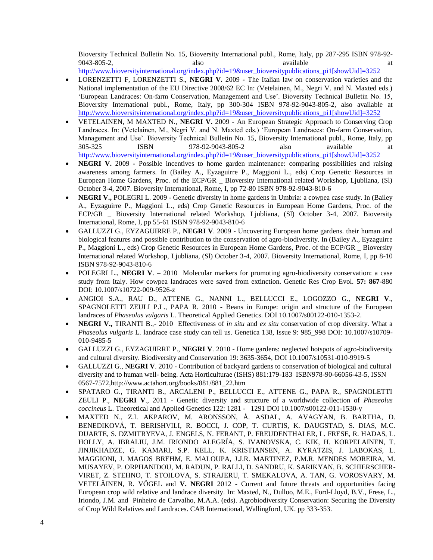Bioversity Technical Bulletin No. 15, Bioversity International publ., Rome, Italy, pp 287-295 ISBN 978-92- 9043-805-2, also available at a set and a set and a set also available at a set and a set and a set and a set and a set and a set and a set and a set and a set and a set and a set and a set and a set and a set and a set an

- [http://www.bioversityinternational.org/index.php?id=19&user\\_bioversitypublications\\_pi1\[showUid\]=3252](http://www.bioversityinternational.org/index.php?id=19&user_bioversitypublications_pi1%5bshowUid%5d=3252)
- LORENZETTI F, LORENZETTI S., **NEGRI V.** 2009 The Italian law on conservation varieties and the National implementation of the EU Directive 2008/62 EC In: (Vetelainen, M., Negri V. and N. Maxted eds.) 'European Landraces: On-farm Conservation, Management and Use'. Bioversity Technical Bulletin No. 15, Bioversity International publ., Rome, Italy, pp 300-304 ISBN 978-92-9043-805-2, also available at [http://www.bioversityinternational.org/index.php?id=19&user\\_bioversitypublications\\_pi1\[showUid\]=3252](http://www.bioversityinternational.org/index.php?id=19&user_bioversitypublications_pi1%5bshowUid%5d=3252)
- VETELAINEN, M MAXTED N., **NEGRI V.** 2009 An European Strategic Approach to Conserving Crop Landraces. In: (Vetelainen, M., Negri V. and N. Maxted eds.) 'European Landraces: On-farm Conservation, Management and Use'. Bioversity Technical Bulletin No. 15, Bioversity International publ., Rome, Italy, pp 305-325 ISBN 978-92-9043-805-2 also available at [http://www.bioversityinternational.org/index.php?id=19&user\\_bioversitypublications\\_pi1\[showUid\]=3252](http://www.bioversityinternational.org/index.php?id=19&user_bioversitypublications_pi1%5bshowUid%5d=3252)
- **NEGRI V.** 2009 **-** Possible incentives to home garden maintenance: comparing possibilities and raising awareness among farmers. In (Bailey A., Eyzaguirre P., Maggioni L., eds) Crop Genetic Resources in European Home Gardens, Proc. of the ECP/GR \_ Bioversity International related Workshop, Ljubliana, (Sl) October 3-4, 2007. Bioversity International, Rome, I, pp 72-80 ISBN 978-92-9043-810-6
- **NEGRI V.,** POLEGRI L. 2009 Genetic diversity in home gardens in Umbria: a cowpea case study. In (Bailey A., Eyzaguirre P., Maggioni L., eds) Crop Genetic Resources in European Home Gardens, Proc. of the ECP/GR \_ Bioversity International related Workshop, Ljubliana, (Sl) October 3-4, 2007. Bioversity International, Rome, I, pp 55-61 ISBN 978-92-9043-810-6
- GALLUZZI G., EYZAGUIRRE P., **NEGRI V**. 2009 Uncovering European home gardens. their human and biological features and possible contribution to the conservation of agro-biodiversity. In (Bailey A., Eyzaguirre P., Maggioni L., eds) Crop Genetic Resources in European Home Gardens, Proc. of the ECP/GR \_ Bioversity International related Workshop, Ljubliana, (Sl) October 3-4, 2007. Bioversity International, Rome, I, pp 8-10 ISBN 978-92-9043-810-6
- POLEGRI L., **NEGRI V**. 2010 Molecular markers for promoting agro-biodiversity conservation: a case study from Italy. How cowpea landraces were saved from extinction. Genetic Res Crop Evol. **57: 867-**880 DOI: 10.1007/s10722-009-9526-z
- ANGIOI S.A., RAU D., ATTENE G., NANNI L., BELLUCCI E., LOGOZZO G., **NEGRI V**., SPAGNOLETTI ZEULI P.L., PAPA R. 2010 - Beans in Europe: origin and structure of the European landraces of *Phaseolus vulgaris* L. Theoretical Applied Genetics. DOI 10.1007/s00122-010-1353-2.
- **NEGRI V.,** TIRANTI B.,- 2010Effectiveness of *in situ* and *ex situ* conservation of crop diversity. What a *Phaseolus vulgaris* L. landrace case study can tell us. Genetica 138, Issue 9: 985\_998 DOI: 10.1007/s10709- 010-9485-5
- GALLUZZI G., EYZAGUIRRE P., **NEGRI V**. 2010 Home gardens: neglected hotspots of agro-biodiversity and cultural diversity. Biodiversity and Conservation 19: 3635-3654, DOI 10.1007/s10531-010-9919-5
- GALLUZZI G., **NEGRI V**. 2010 Contribution of backyard gardens to conservation of biological and cultural diversity and to human well- being. Acta Horticulturae (ISHS) 881:179-183 ISBN978-90-66056-43-5, ISSN 0567-7572,http://www.actahort.org/books/881/881\_22.htm
- SPATARO G., TIRANTI B., ARCALENI P., BELLUCCI E., ATTENE G., PAPA R., SPAGNOLETTI ZEULI P., **NEGRI V**., 2011 - Genetic diversity and structure of a worldwide collection of *Phaseolus coccineus* L. Theoretical and Applied Genetics 122: 1281 -– 1291 DOI 10.1007/s00122-011-1530-y
- MAXTED N., Z.I. AKPAROV, M. ARONSSON, Å. ASDAL, A. AVAGYAN, B. BARTHA, D. BENEDIKOVÁ, T. BERISHVILI, R. BOCCI, J. COP, T. CURTIS, K. DAUGSTAD, S. DIAS, M.C. DUARTE, S. DZMITRYEVA, J. ENGELS, N. FERANT, P. FREUDENTHALER, L. FRESE, R. HADAS, L. HOLLY, A. IBRALIU, J.M. IRIONDO ALEGRÍA, S. IVANOVSKA, C. KIK, H. KORPELAINEN, T. JINJIKHADZE, G. KAMARI, S.P. KELL, K. KRISTIANSEN, A. KYRATZIS, J. LABOKAS, L. MAGGIONI, J. MAGOS BREHM, E. MALOUPA, J.J.R. MARTINEZ, P.M.R. MENDES MOREIRA, M. MUSAYEV, P. ORPHANIDOU, M. RADUN, P. RALLI, D. SANDRU, K. SARIKYAN, B. SCHIERSCHER-VIRET, Z. STEHNO, T. STOILOVA, S. STRAJERU, T. SMEKALOVA, A. TAN, G. VOROSVARY, M. VETELÄINEN, R. VÖGEL and **V. NEGRI** 2012 - Current and future threats and opportunities facing European crop wild relative and landrace diversity. In: Maxted, N., Dulloo, M.E., Ford-Lloyd, B.V., Frese, L., Iriondo, J.M. and Pinheiro de Carvalho, M.A.A. (eds). Agrobiodiversity Conservation: Securing the Diversity of Crop Wild Relatives and Landraces. CAB International, Wallingford, UK. pp 333-353.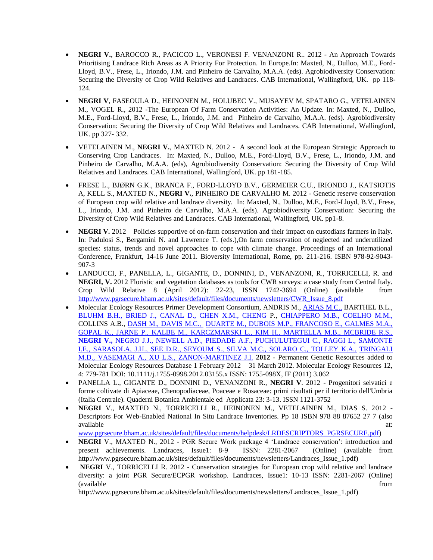- **NEGRI V.**, BAROCCO R., PACICCO L., VERONESI F. VENANZONI R.. 2012 An Approach Towards Prioritising Landrace Rich Areas as A Priority For Protection. In Europe.In: Maxted, N., Dulloo, M.E., Ford-Lloyd, B.V., Frese, L., Iriondo, J.M. and Pinheiro de Carvalho, M.A.A. (eds). Agrobiodiversity Conservation: Securing the Diversity of Crop Wild Relatives and Landraces. CAB International, Wallingford, UK. pp 118- 124.
- **NEGRI V**, FASEOULA D., HEINONEN M., HOLUBEC V., MUSAYEV M, SPATARO G., VETELAINEN M., VOGEL R., 2012 -The European Of Farm Conservation Activities: An Update. In: Maxted, N., Dulloo, M.E., Ford-Lloyd, B.V., Frese, L., Iriondo, J.M. and Pinheiro de Carvalho, M.A.A. (eds). Agrobiodiversity Conservation: Securing the Diversity of Crop Wild Relatives and Landraces. CAB International, Wallingford, UK. pp 327- 332.
- VETELAINEN M., **NEGRI V.**, MAXTED N. 2012 A second look at the European Strategic Approach to Conserving Crop Landraces. In: Maxted, N., Dulloo, M.E., Ford-Lloyd, B.V., Frese, L., Iriondo, J.M. and Pinheiro de Carvalho, M.A.A. (eds), Agrobiodiversity Conservation: Securing the Diversity of Crop Wild Relatives and Landraces. CAB International, Wallingford, UK. pp 181-185.
- FRESE L., BJØRN G.K., BRANCA F., FORD-LLOYD B.V., GERMEIER C.U., IRIONDO J., KATSIOTIS A, KELL S., MAXTED N., **NEGRI V.**, PINHEIRO DE CARVALHO M. 2012 - Genetic reserve conservation of European crop wild relative and landrace diversity. In: Maxted, N., Dulloo, M.E., Ford-Lloyd, B.V., Frese, L., Iriondo, J.M. and Pinheiro de Carvalho, M.A.A. (eds). Agrobiodiversity Conservation: Securing the Diversity of Crop Wild Relatives and Landraces. CAB International, Wallingford, UK. pp1-8.
- **NEGRI V.** 2012 Policies supportive of on-farm conservation and their impact on custodians farmers in Italy. In: Padulosi S., Bergamini N. and Lawrence T. (eds.),On farm conservation of neglected and underutilized species: status, trends and novel approaches to cope with climate change. Proceedings of an International Conference, Frankfurt, 14-16 June 2011. Bioversity International, Rome, pp. 211-216. ISBN 978-92-9043- 907-3
- LANDUCCI, F., PANELLA, L., GIGANTE, D., DONNINI, D., VENANZONI, R., TORRICELLI, R. and **NEGRI, V.** 2012 Floristic and vegetation databases as tools for CWR surveys: a case study from Central Italy. Crop Wild Relative 8 (April 2012): 22-23, ISSN 1742-3694 (Online) (available from [http://www.pgrsecure.bham.ac.uk/sites/default/files/documents/newsletters/CWR\\_Issue\\_8.pdf](http://www.pgrsecure.bham.ac.uk/sites/default/files/documents/newsletters/CWR_Issue_8.pdf)
- Molecular Ecology Resources Primer Development Consortium, ANDRIS M., [ARIAS M.C.,](http://apps.webofknowledge.com/OneClickSearch.do?product=WOS&search_mode=OneClickSearch&colName=WOS&SID=S2h1cbnGpp3Bp93@@3F&field=AU&value=Arias,%20MC) BARTHEL B.L., [BLUHM B.H., BRIED J.,](http://apps.webofknowledge.com/OneClickSearch.do?product=WOS&search_mode=OneClickSearch&colName=WOS&SID=S2h1cbnGpp3Bp93@@3F&field=AU&value=Bluhm,%20BH) [CANAL D., CHEN X.M.,](http://apps.webofknowledge.com/OneClickSearch.do?product=WOS&search_mode=OneClickSearch&colName=WOS&SID=S2h1cbnGpp3Bp93@@3F&field=AU&value=Canal,%20D) [CHENG](http://apps.webofknowledge.com/OneClickSearch.do?product=WOS&search_mode=OneClickSearch&colName=WOS&SID=S2h1cbnGpp3Bp93@@3F&field=AU&value=Cheng,%20P) P., [CHIAPPERO M.B., COELHO M.M.,](http://apps.webofknowledge.com/OneClickSearch.do?product=WOS&search_mode=OneClickSearch&colName=WOS&SID=S2h1cbnGpp3Bp93@@3F&field=AU&value=Chiappero,%20MB)  COLLINS A.B., [DASH M., DAVIS M.C.,](http://apps.webofknowledge.com/OneClickSearch.do?product=WOS&search_mode=OneClickSearch&colName=WOS&SID=S2h1cbnGpp3Bp93@@3F&field=AU&value=Dash,%20M) [DUARTE M., DUBOIS M.P.,](http://apps.webofknowledge.com/OneClickSearch.do?product=WOS&search_mode=OneClickSearch&colName=WOS&SID=S2h1cbnGpp3Bp93@@3F&field=AU&value=Duarte,%20M) [FRANCOSO E., GALMES M.A.,](http://apps.webofknowledge.com/OneClickSearch.do?product=WOS&search_mode=OneClickSearch&colName=WOS&SID=S2h1cbnGpp3Bp93@@3F&field=AU&value=Francoso,%20E)  [GOPAL K., JARNE P.,](http://apps.webofknowledge.com/OneClickSearch.do?product=WOS&search_mode=OneClickSearch&colName=WOS&SID=S2h1cbnGpp3Bp93@@3F&field=AU&value=Gopal,%20K) [KALBE M., KARCZMARSKI L.,](http://apps.webofknowledge.com/OneClickSearch.do?product=WOS&search_mode=OneClickSearch&colName=WOS&SID=S2h1cbnGpp3Bp93@@3F&field=AU&value=Kalbe,%20M) [KIM H., MARTELLA M.B.,](http://apps.webofknowledge.com/OneClickSearch.do?product=WOS&search_mode=OneClickSearch&colName=WOS&SID=S2h1cbnGpp3Bp93@@3F&field=AU&value=Kim,%20H) [MCBRIDE R.S.,](http://apps.webofknowledge.com/OneClickSearch.do?product=WOS&search_mode=OneClickSearch&colName=WOS&SID=S2h1cbnGpp3Bp93@@3F&field=AU&value=Mcbride,%20RS)  **[NEGRI V.,](http://apps.webofknowledge.com/OneClickSearch.do?product=WOS&search_mode=OneClickSearch&colName=WOS&SID=S2h1cbnGpp3Bp93@@3F&field=AU&value=Negri,%20V)** [NEGRO J.J.,](http://apps.webofknowledge.com/OneClickSearch.do?product=WOS&search_mode=OneClickSearch&colName=WOS&SID=S2h1cbnGpp3Bp93@@3F&field=AU&value=Negri,%20V) [NEWELL A.D., PIEDADE A.F.,](http://apps.webofknowledge.com/OneClickSearch.do?product=WOS&search_mode=OneClickSearch&colName=WOS&SID=S2h1cbnGpp3Bp93@@3F&field=AU&value=Newell,%20AD) [PUCHULUTEGUI C., RAGGI L.,](http://apps.webofknowledge.com/OneClickSearch.do?product=WOS&search_mode=OneClickSearch&colName=WOS&SID=S2h1cbnGpp3Bp93@@3F&field=AU&value=Puchulutegui,%20C) [SAMONTE](http://apps.webofknowledge.com/OneClickSearch.do?product=WOS&search_mode=OneClickSearch&colName=WOS&SID=S2h1cbnGpp3Bp93@@3F&field=AU&value=Samonte,%20IE)  [I.E.,](http://apps.webofknowledge.com/OneClickSearch.do?product=WOS&search_mode=OneClickSearch&colName=WOS&SID=S2h1cbnGpp3Bp93@@3F&field=AU&value=Samonte,%20IE) [SARASOLA, J.H., SEE D.R.,](http://apps.webofknowledge.com/OneClickSearch.do?product=WOS&search_mode=OneClickSearch&colName=WOS&SID=S2h1cbnGpp3Bp93@@3F&field=AU&value=Sarasola,%20JH) [SEYOUM S., SILVA M.C.,](http://apps.webofknowledge.com/OneClickSearch.do?product=WOS&search_mode=OneClickSearch&colName=WOS&SID=S2h1cbnGpp3Bp93@@3F&field=AU&value=Seyoum,%20S) [SOLARO C., TOLLEY K.A.,](http://apps.webofknowledge.com/OneClickSearch.do?product=WOS&search_mode=OneClickSearch&colName=WOS&SID=S2h1cbnGpp3Bp93@@3F&field=AU&value=Solaro,%20C) [TRINGALI](http://apps.webofknowledge.com/OneClickSearch.do?product=WOS&search_mode=OneClickSearch&colName=WOS&SID=S2h1cbnGpp3Bp93@@3F&field=AU&value=Tringali,%20MD)  [M.D.,](http://apps.webofknowledge.com/OneClickSearch.do?product=WOS&search_mode=OneClickSearch&colName=WOS&SID=S2h1cbnGpp3Bp93@@3F&field=AU&value=Tringali,%20MD) [VASEMAGI A., XU L.S.,](http://apps.webofknowledge.com/OneClickSearch.do?product=WOS&search_mode=OneClickSearch&colName=WOS&SID=S2h1cbnGpp3Bp93@@3F&field=AU&value=Vasemagi,%20A) [ZANON-MARTINEZ J.I.](http://apps.webofknowledge.com/OneClickSearch.do?product=WOS&search_mode=OneClickSearch&colName=WOS&SID=S2h1cbnGpp3Bp93@@3F&field=AU&value=Zanon-Martinez,%20JI) **2012** - Permanent Genetic Resources added to Molecular Ecology Resources Database 1 February 2012 – 31 March 2012. Molecular Ecology Resources 12, 4: 779-781 DOI: 10.1111/j.1755-0998.2012.03155.x ISSN: 1755-098X, IF (2011) 3.062
- PANELLA L., GIGANTE D., DONNINI D., VENANZONI R., **NEGRI V**. 2012 Progenitori selvatici e forme coltivate di Apiaceae, Chenopodiaceae, Poaceae e Rosaceae: primi risultati per il territorio dell'Umbria (Italia Centrale). Quaderni Botanica Ambientale ed Applicata 23: 3-13. ISSN 1121-3752
- **NEGRI** V., MAXTED N., TORRICELLI R., HEINONEN M., VETELAINEN M., DIAS S. 2012 Descriptors For Web-Enabled National In Situ Landrace Inventories. Pp 18 ISBN 978 88 87652 27 7 (also available at: and a state at a state at a state at a state at a state at a state at a state at a state at a st
	- [www.pgrsecure.bham.ac.uk/sites/default/files/documents/helpdesk/LRDESCRIPTORS\\_PGRSECURE.pdf\)](http://www.pgrsecure.bham.ac.uk/sites/default/files/documents/helpdesk/LRDESCRIPTORS_PGRSECURE.pdf)
- **NEGRI** V., MAXTED N., 2012 PGR Secure Work package 4 'Landrace conservation': introduction and present achievements. Landraces, Issue1: 8-9 ISSN: 2281-2067 (Online) (available from http://www.pgrsecure.bham.ac.uk/sites/default/files/documents/newsletters/Landraces\_Issue\_1.pdf)
- NEGRI V., TORRICELLI R. 2012 Conservation strategies for European crop wild relative and landrace diversity: a joint PGR Secure/ECPGR workshop. Landraces, Issue1: 10-13 ISSN: 2281-2067 (Online) (available from

http://www.pgrsecure.bham.ac.uk/sites/default/files/documents/newsletters/Landraces\_Issue\_1.pdf)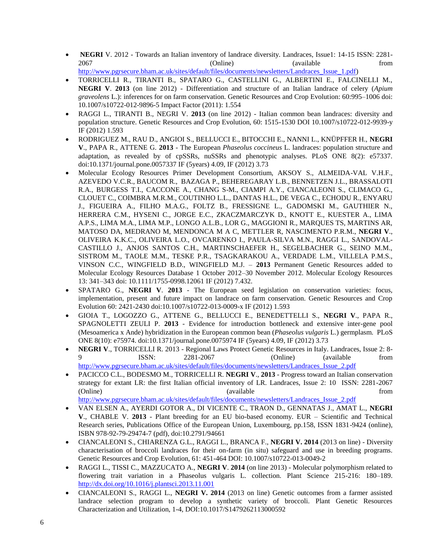- NEGRI V. 2012 Towards an Italian inventory of landrace diversity. Landraces, Issue1: 14-15 ISSN: 2281-2067 (Online) (Communication and Communication and Communication and American School available from  $(2067)$ [http://www.pgrsecure.bham.ac.uk/sites/default/files/documents/newsletters/Landraces\\_Issue\\_1.pdf\)](http://www.pgrsecure.bham.ac.uk/sites/default/files/documents/newsletters/Landraces_Issue_1.pdf)
- TORRICELLI R., TIRANTI B., SPATARO G., CASTELLINI G., ALBERTINI E., FALCINELLI M., **NEGRI V**. **2013** (on line 2012) - Differentiation and structure of an Italian landrace of celery (*Apium graveolens* L.): inferences for on farm conservation. Genetic Resources and Crop Evolution: 60:995–1006 doi: 10.1007/s10722-012-9896-5 Impact Factor (2011): 1.554
- RAGGI L., TIRANTI B., NEGRI V. **2013** (on line 2012) Italian common bean landraces: diversity and population structure. Genetic Resources and Crop Evolution, 60: 1515-1530 DOI 10.1007/s10722-012-9939-y IF (2012) 1.593
- RODRIGUEZ M., RAU D., ANGIOI S., BELLUCCI E., BITOCCHI E., NANNI L., KNÜPFFER H., **NEGRI V**., PAPA R., ATTENE G. **2013** - The European *Phaseolus coccineus* L. landraces: population structure and adaptation, as revealed by of cpSSRs, nuSSRs and phenotypic analyses. PLoS ONE 8(2): e57337. doi:10.1371/journal.pone.0057337 IF (5years) 4.09, IF (2012) 3.73
- Molecular Ecology Resources Primer Development Consortium, AKSOY S., ALMEIDA-VAL V.H.F., AZEVEDO V.C.R., BAUCOM R., BAZAGA P., BEHEREGARAY L.B., BENNETZEN J.L., BRASSALOTI R.A., BURGESS T.I., CACCONE A., CHANG S-M., CIAMPI A.Y., CIANCALEONI S., CLIMACO G., CLOUET C., COIMBRA M.R.M., COUTINHO L.L., DANTAS H.L., DE VEGA C., ECHODU R., ENYARU J., FIGUEIRA A., FILHO M.A.G., FOLTZ B., FRESSIGNE L., GADOMSKI M., GAUTHIER N., HERRERA C.M., HYSENI C., JORGE E.C., ZKACZMARCZYK D., KNOTT E., KUESTER A., LIMA A.P.S., LIMA M.A., LIMA M.P., LONGO A.L.B., LOR G., MAGGIONI R., MARQUES TS, MARTINS AR, MATOSO DA, MEDRANO M, MENDONCA M A C, METTLER R, NASCIMENTO P.R.M., **NEGRI V**., OLIVEIRA K.K.C., OLIVEIRA L.O., OVCARENKO I., PAULA-SILVA M.N., RAGGI L., SANDOVAL-CASTILLO J., ANJOS SANTOS C.H., MARTINSCHAEFER H., SEGELBACHER G., SEINO M.M., SISTROM M., TAOLE M.M., TESKE P.R., TSAGKARAKOU A., VERDADE L.M., VILLELA P.M.S., VINSON C.C., WINGFIELD B.D., WINGFIELD M.J. – **2013** Permanent Genetic Resources added to Molecular Ecology Resources Database 1 October 2012–30 November 2012. Molecular Ecology Resources 13: 341–343 doi: 10.1111/1755-0998.12061 IF (2012) 7.432.
- SPATARO G., **NEGRI V**. **2013** The European seed legislation on conservation varieties: focus, implementation, present and future impact on landrace on farm conservation. Genetic Resources and Crop Evolution 60: 2421-2430 doi:10.1007/s10722-013-0009-x IF (2012) 1.593
- GIOIA T., LOGOZZO G., ATTENE G., BELLUCCI E., BENEDETTELLI S., **NEGRI V**., PAPA R., SPAGNOLETTI ZEULI P. **2013** - Evidence for introduction bottleneck and extensive inter-gene pool (Mesoamerica x Ande) hybridization in the European common bean (*Phaseolus vulgaris* L.) germplasm. PLoS ONE 8(10): e75974. doi:10.1371/journal.pone.0075974 IF (5years) 4.09, IF (2012) 3.73
- **NEGRI V**., TORRICELLI R. 2013 Regional Laws Protect Genetic Resources in Italy. Landraces, Issue 2: 8- 9 ISSN: 2281-2067 (Online) (available from [http://www.pgrsecure.bham.ac.uk/sites/default/files/documents/newsletters/Landraces\\_Issue\\_2.pdf](http://www.pgrsecure.bham.ac.uk/sites/default/files/documents/newsletters/Landraces_Issue_2.pdf)
- PACICCO C.L., BODESMO M., TORRICELLI R. **NEGRI V**., **2013** Progress toward an Italian conservation strategy for extant LR: the first Italian official inventory of LR. Landraces, Issue 2: 10 ISSN: 2281-2067 (Online) (available from the contract of the contract of the contract of the contract of the contract of the contract of the contract of the contract of the contract of the contract of the contract of the contract of the c [http://www.pgrsecure.bham.ac.uk/sites/default/files/documents/newsletters/Landraces\\_Issue\\_2.pdf](http://www.pgrsecure.bham.ac.uk/sites/default/files/documents/newsletters/Landraces_Issue_2.pdf)
- VAN ELSEN A., AYERDI GOTOR A., DI VICENTE C., TRAON D., GENNATAS J., AMAT L., **NEGRI V**., CHABLE V. **2013** - Plant breeding for an EU bio-based economy. EUR – Scientific and Technical Research series, Publications Office of the European Union, Luxembourg, pp.158, ISSN 1831-9424 (online),
- ISBN 978-92-79-29474-7 (pdf), doi:10.2791/94661 CIANCALEONI S., CHIARENZA G.L., RAGGI L., BRANCA F., **NEGRI V. 2014** (2013 on line) - Diversity characterisation of broccoli landraces for their on-farm (in situ) safeguard and use in breeding programs. Genetic Resources and Crop Evolution, 61: 451-464 DOI: 10.1007/s10722-013-0049-2
- RAGGI L., TISSI C., MAZZUCATO A., **NEGRI V**. **2014** (on line 2013) Molecular polymorphism related to flowering trait variation in a Phaseolus vulgaris L. collection. Plant Science 215-216: 180–189. <http://dx.doi.org/10.1016/j.plantsci.2013.11.001>
- CIANCALEONI S., RAGGI L., **NEGRI V. 2014** (2013 on line) Genetic outcomes from a farmer assisted landrace selection program to develop a synthetic variety of broccoli. Plant Genetic Resources Characterization and Utilization, 1-4, DOI:10.1017/S1479262113000592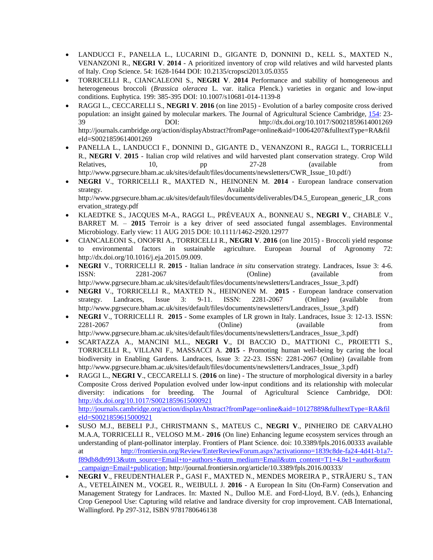- LANDUCCI F., PANELLA L., LUCARINI D., GIGANTE D, DONNINI D., KELL S., MAXTED N., VENANZONI R., **NEGRI V**. **2014** - A prioritized inventory of crop wild relatives and wild harvested plants of Italy. Crop Science. 54: 1628-1644 DOI: 10.2135/cropsci2013.05.0355
- TORRICELLI R., CIANCALEONI S., **NEGRI V**. **2014** Performance and stability of homogeneous and heterogeneous broccoli (*Brassica oleracea* L. var. italica Plenck.) varieties in organic and low-input conditions. Euphytica. 199: 385-395 DOI: 10.1007/s10681-014-1139-8
- RAGGI L., CECCARELLI S., **NEGRI V**. **2016** (on line 2015) Evolution of a barley composite cross derived population: an insight gained by molecular markers. The Journal of Agricultural Science Cambridge, [154:](http://journals.cambridge.org/action/displayBackIssues?jid=AGS&volumeId=154) 23- 39 DOI: http://dx.doi.org/10.1017/S0021859614001269 http://journals.cambridge.org/action/displayAbstract?fromPage=online&aid=10064207&fulltextType=RA&fil eId=S0021859614001269
- PANELLA L., LANDUCCI F., DONNINI D., GIGANTE D., VENANZONI R., RAGGI L., TORRICELLI R., **NEGRI V**. **2015** - Italian crop wild relatives and wild harvested plant conservation strategy. Crop Wild Relatives, 10, pp 27-28 (available from http://www.pgrsecure.bham.ac.uk/sites/default/files/documents/newsletters/CWR\_Issue\_10.pdf/)
- **NEGRI** V., TORRICELLI R., MAXTED N., HEINONEN M. **2014** European landrace conservation strategy. Available from the strategy. http://www.pgrsecure.bham.ac.uk/sites/default/files/documents/deliverables/D4.5\_European\_generic\_LR\_cons ervation\_strategy.pdf
- KLAEDTKE S., JACQUES M-A., RAGGI L., PRÉVEAUX A., BONNEAU S., **NEGRI V**., CHABLE V., BARRET M. – **2015** Terroir is a key driver of seed associated fungal assemblages. Environmental Microbiology. Early view: 11 AUG 2015 DOI: 10.1111/1462-2920.12977
- CIANCALEONI S., ONOFRI A., TORRICELLI R., **NEGRI V**. **2016** (on line 2015) Broccoli yield response to environmental factors in sustainable agriculture. European Journal of Agronomy 72: http://dx.doi.org/10.1016/j.eja.2015.09.009.
- **NEGRI** V., TORRICELLI R. **2015** Italian landrace *in situ* conservation strategy. Landraces, Issue 3: 4-6. ISSN: 2281-2067 (Online) (available from http://www.pgrsecure.bham.ac.uk/sites/default/files/documents/newsletters/Landraces\_Issue\_3.pdf)
- **NEGRI** V., TORRICELLI R., MAXTED N., HEINONEN M. **2015** European landrace conservation strategy. Landraces, Issue 3: 9-11. ISSN: 2281-2067 (Online) (available from http://www.pgrsecure.bham.ac.uk/sites/default/files/documents/newsletters/Landraces\_Issue\_3.pdf)
- **NEGRI** V., TORRICELLI R. **2015** Some examples of LR grown in Italy. Landraces, Issue 3: 12-13. ISSN: 2281-2067 (Online) (available from http://www.pgrsecure.bham.ac.uk/sites/default/files/documents/newsletters/Landraces\_Issue\_3.pdf)
- SCARTAZZA A., MANCINI M.L., **NEGRI V**., DI BACCIO D., MATTIONI C., PROIETTI S., TORRICELLI R., VILLANI F., MASSACCI A. **2015** - Promoting human well-being by caring the local biodiversity in Enabling Gardens. Landraces, Issue 3: 22-23. ISSN: 2281-2067 (Online) (available from http://www.pgrsecure.bham.ac.uk/sites/default/files/documents/newsletters/Landraces\_Issue\_3.pdf)
- RAGGI L., **NEGRI V**., CECCARELLI S. (**2016** on line) The structure of morphological diversity in a barley Composite Cross derived Population evolved under low-input conditions and its relationship with molecular diversity: indications for breeding. The Journal of Agricultural Science Cambridge, DOI[:](http://dx.doi.org/10.1017/S0021859615000921) <http://dx.doi.org/10.1017/S0021859615000921> [http://journals.cambridge.org/action/displayAbstract?fromPage=online&aid=10127889&fulltextType=RA&fil](http://journals.cambridge.org/action/displayAbstract?fromPage=online&aid=10127889&fulltextType=RA&fileId=S0021859615000921) [eId=S0021859615000921](http://journals.cambridge.org/action/displayAbstract?fromPage=online&aid=10127889&fulltextType=RA&fileId=S0021859615000921)
- SUSO M.J., BEBELI P.J., CHRISTMANN S., MATEUS C., **NEGRI V**., PINHEIRO DE CARVALHO M.A.A, TORRICELLI R., VELOSO M.M.- **2016** (On line) Enhancing legume ecosystem services through an understanding of plant-pollinator interplay. Frontiers of Plant Science. doi: 10.3389/fpls.2016.00333 available at [http://frontiersin.org/Review/EnterReviewForum.aspx?activationno=1839c8de-fa24-4d41-b1a7](http://frontiersin.org/Review/EnterReviewForum.aspx?activationno=1839c8de-fa24-4d41-b1a7-f89db8db9913&utm_source=Email+to+authors+&utm_medium=Email&utm_content=T1+4.8e1+author&utm_campaign=Email+publication) [f89db8db9913&utm\\_source=Email+to+authors+&utm\\_medium=Email&utm\\_content=T1+4.8e1+author&utm](http://frontiersin.org/Review/EnterReviewForum.aspx?activationno=1839c8de-fa24-4d41-b1a7-f89db8db9913&utm_source=Email+to+authors+&utm_medium=Email&utm_content=T1+4.8e1+author&utm_campaign=Email+publication) [\\_campaign=Email+publication;](http://frontiersin.org/Review/EnterReviewForum.aspx?activationno=1839c8de-fa24-4d41-b1a7-f89db8db9913&utm_source=Email+to+authors+&utm_medium=Email&utm_content=T1+4.8e1+author&utm_campaign=Email+publication) http://journal.frontiersin.org/article/10.3389/fpls.2016.00333/
- **NEGRI V**., FREUDENTHALER P., GASI F., MAXTED N., MENDES MOREIRA P., STRÃJERU S., TAN A., VETELÄINEN M., VOGEL R., WEIBULL J. **2016** - A European In Situ (On-Farm) Conservation and Management Strategy for Landraces. In: Maxted N., Dulloo M.E. and Ford-Lloyd, B.V. (eds.), Enhancing Crop Genepool Use: Capturing wild relative and landrace diversity for crop improvement. CAB International, Wallingford. Pp 297-312, ISBN 9781780646138